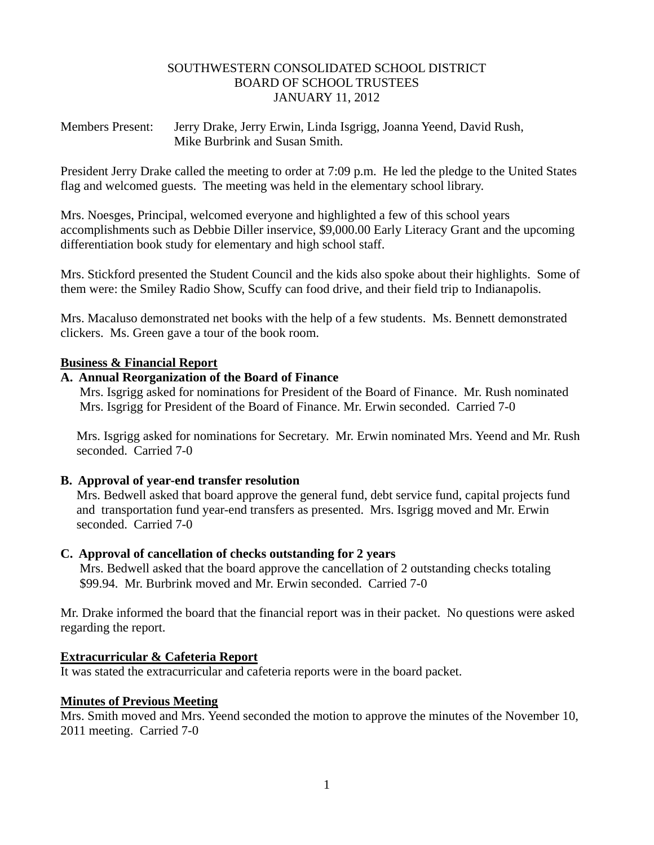### SOUTHWESTERN CONSOLIDATED SCHOOL DISTRICT BOARD OF SCHOOL TRUSTEES JANUARY 11, 2012

Members Present: Jerry Drake, Jerry Erwin, Linda Isgrigg, Joanna Yeend, David Rush, Mike Burbrink and Susan Smith.

President Jerry Drake called the meeting to order at 7:09 p.m. He led the pledge to the United States flag and welcomed guests. The meeting was held in the elementary school library.

Mrs. Noesges, Principal, welcomed everyone and highlighted a few of this school years accomplishments such as Debbie Diller inservice, \$9,000.00 Early Literacy Grant and the upcoming differentiation book study for elementary and high school staff.

Mrs. Stickford presented the Student Council and the kids also spoke about their highlights. Some of them were: the Smiley Radio Show, Scuffy can food drive, and their field trip to Indianapolis.

Mrs. Macaluso demonstrated net books with the help of a few students. Ms. Bennett demonstrated clickers. Ms. Green gave a tour of the book room.

## **Business & Financial Report**

## **A. Annual Reorganization of the Board of Finance**

Mrs. Isgrigg asked for nominations for President of the Board of Finance. Mr. Rush nominated Mrs. Isgrigg for President of the Board of Finance. Mr. Erwin seconded. Carried 7-0

 Mrs. Isgrigg asked for nominations for Secretary. Mr. Erwin nominated Mrs. Yeend and Mr. Rush seconded. Carried 7-0

# **B. Approval of year-end transfer resolution**

Mrs. Bedwell asked that board approve the general fund, debt service fund, capital projects fund and transportation fund year-end transfers as presented. Mrs. Isgrigg moved and Mr. Erwin seconded. Carried 7-0

# **C. Approval of cancellation of checks outstanding for 2 years**

Mrs. Bedwell asked that the board approve the cancellation of 2 outstanding checks totaling \$99.94. Mr. Burbrink moved and Mr. Erwin seconded. Carried 7-0

Mr. Drake informed the board that the financial report was in their packet. No questions were asked regarding the report.

# **Extracurricular & Cafeteria Report**

It was stated the extracurricular and cafeteria reports were in the board packet.

#### **Minutes of Previous Meeting**

Mrs. Smith moved and Mrs. Yeend seconded the motion to approve the minutes of the November 10, 2011 meeting. Carried 7-0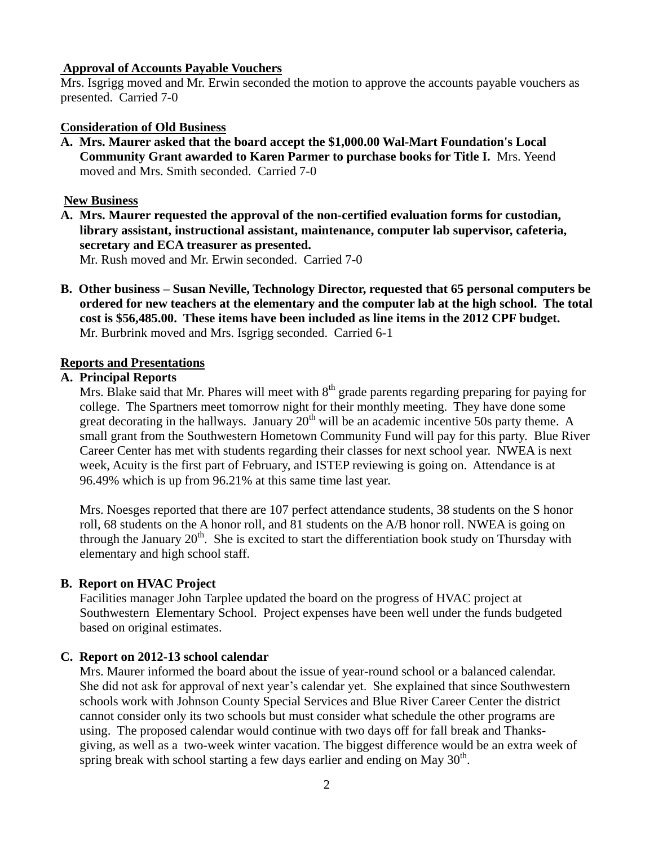### **Approval of Accounts Payable Vouchers**

Mrs. Isgrigg moved and Mr. Erwin seconded the motion to approve the accounts payable vouchers as presented. Carried 7-0

## **Consideration of Old Business**

**A. Mrs. Maurer asked that the board accept the \$1,000.00 Wal-Mart Foundation's Local Community Grant awarded to Karen Parmer to purchase books for Title I.** Mrs. Yeend moved and Mrs. Smith seconded. Carried 7-0

### **New Business**

- **A. Mrs. Maurer requested the approval of the non-certified evaluation forms for custodian, library assistant, instructional assistant, maintenance, computer lab supervisor, cafeteria, secretary and ECA treasurer as presented.** Mr. Rush moved and Mr. Erwin seconded. Carried 7-0
- **B. Other business – Susan Neville, Technology Director, requested that 65 personal computers be ordered for new teachers at the elementary and the computer lab at the high school. The total cost is \$56,485.00. These items have been included as line items in the 2012 CPF budget.** Mr. Burbrink moved and Mrs. Isgrigg seconded. Carried 6-1

## **Reports and Presentations**

## **A. Principal Reports**

Mrs. Blake said that Mr. Phares will meet with 8<sup>th</sup> grade parents regarding preparing for paying for college. The Spartners meet tomorrow night for their monthly meeting. They have done some great decorating in the hallways. January  $20<sup>th</sup>$  will be an academic incentive 50s party theme. A small grant from the Southwestern Hometown Community Fund will pay for this party. Blue River Career Center has met with students regarding their classes for next school year. NWEA is next week, Acuity is the first part of February, and ISTEP reviewing is going on. Attendance is at 96.49% which is up from 96.21% at this same time last year.

 Mrs. Noesges reported that there are 107 perfect attendance students, 38 students on the S honor roll, 68 students on the A honor roll, and 81 students on the A/B honor roll. NWEA is going on through the January  $20<sup>th</sup>$ . She is excited to start the differentiation book study on Thursday with elementary and high school staff.

# **B. Report on HVAC Project**

 Facilities manager John Tarplee updated the board on the progress of HVAC project at Southwestern Elementary School. Project expenses have been well under the funds budgeted based on original estimates.

# **C. Report on 2012-13 school calendar**

 Mrs. Maurer informed the board about the issue of year-round school or a balanced calendar. She did not ask for approval of next year's calendar yet. She explained that since Southwestern schools work with Johnson County Special Services and Blue River Career Center the district cannot consider only its two schools but must consider what schedule the other programs are using. The proposed calendar would continue with two days off for fall break and Thanks giving, as well as a two-week winter vacation. The biggest difference would be an extra week of spring break with school starting a few days earlier and ending on May  $30<sup>th</sup>$ .